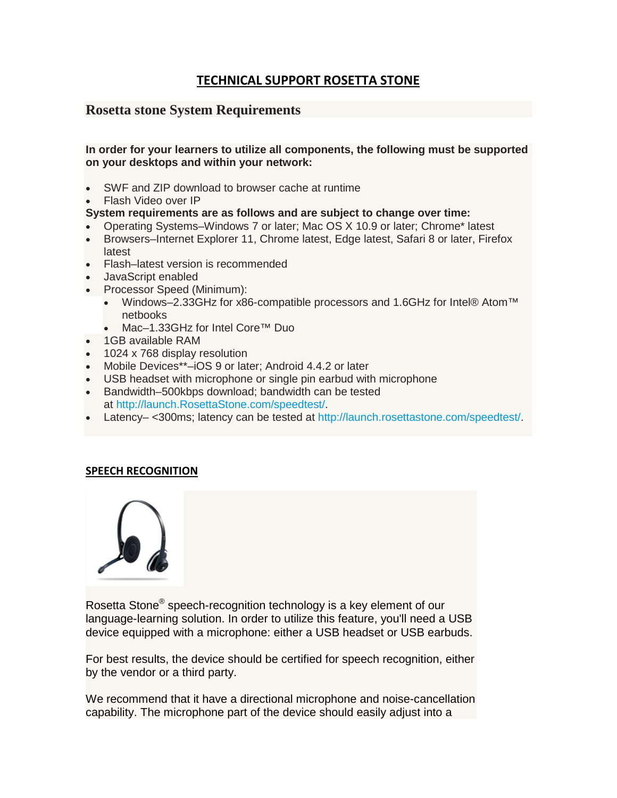# **TECHNICAL SUPPORT ROSETTA STONE**

## **Rosetta stone System Requirements**

### **In order for your learners to utilize all components, the following must be supported on your desktops and within your network:**

- SWF and ZIP download to browser cache at runtime
- Flash Video over IP

### **System requirements are as follows and are subject to change over time:**

- Operating Systems–Windows 7 or later; Mac OS X 10.9 or later; Chrome\* latest
- Browsers–Internet Explorer 11, Chrome latest, Edge latest, Safari 8 or later, Firefox latest
- Flash–latest version is recommended
- JavaScript enabled
- Processor Speed (Minimum):
	- Windows–2.33GHz for x86-compatible processors and 1.6GHz for Intel® Atom™ netbooks
	- Mac–1.33GHz for Intel Core™ Duo
- 1GB available RAM
- 1024 x 768 display resolution
- Mobile Devices\*\*–iOS 9 or later; Android 4.4.2 or later
- USB headset with microphone or single pin earbud with microphone
- Bandwidth–500kbps download; bandwidth can be tested at [http://launch.RosettaStone.com/speedtest/.](http://launch.rosettastone.com/speedtest/)
- Latency– <300ms; latency can be tested at [http://launch.rosettastone.com/speedtest/.](http://launch.rosettastone.com/speedtest/)

## **SPEECH RECOGNITION**



Rosetta Stone® speech-recognition technology is a key element of our language-learning solution. In order to utilize this feature, you'll need a USB device equipped with a microphone: either a USB headset or USB earbuds.

For best results, the device should be certified for speech recognition, either by the vendor or a third party.

We recommend that it have a directional microphone and noise-cancellation capability. The microphone part of the device should easily adjust into a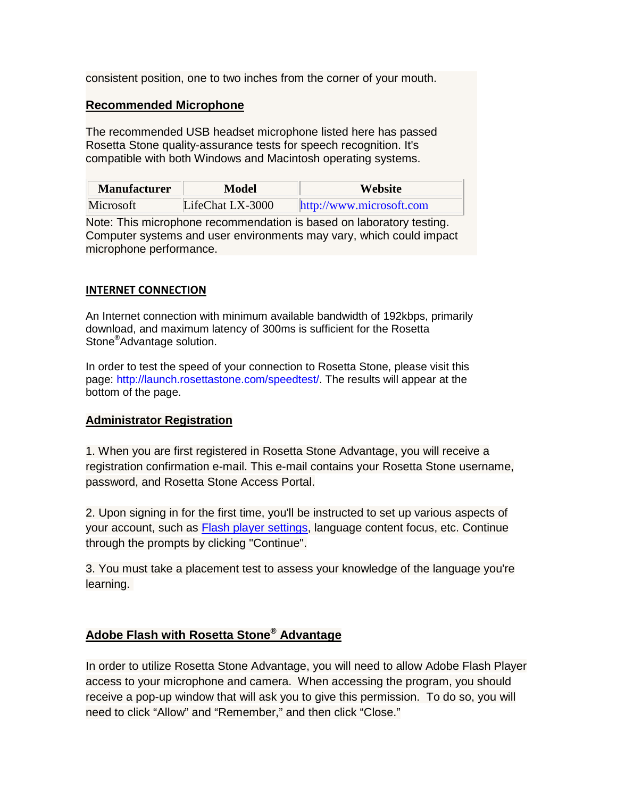consistent position, one to two inches from the corner of your mouth.

### **Recommended Microphone**

The recommended USB headset microphone listed here has passed Rosetta Stone quality-assurance tests for speech recognition. It's compatible with both Windows and Macintosh operating systems.

| <b>Manufacturer</b> | Model            | <b>Website</b>           |
|---------------------|------------------|--------------------------|
| Microsoft           | LifeChat LX-3000 | http://www.microsoft.com |

Note: This microphone recommendation is based on laboratory testing. Computer systems and user environments may vary, which could impact microphone performance.

### **INTERNET CONNECTION**

An Internet connection with minimum available bandwidth of 192kbps, primarily download, and maximum latency of 300ms is sufficient for the Rosetta Stone®Advantage solution.

In order to test the speed of your connection to Rosetta Stone, please visit this page: [http://launch.rosettastone.com/speedtest/.](http://launch.rosettastone.com/speedtest/) The results will appear at the bottom of the page.

### **Administrator Registration**

1. When you are first registered in Rosetta Stone Advantage, you will receive a registration confirmation e-mail. This e-mail contains your Rosetta Stone username, password, and Rosetta Stone Access Portal.

2. Upon signing in for the first time, you'll be instructed to set up various aspects of your account, such as [Flash player settings,](http://support.rosettastone.com/en/business/Advantage-For-Higher-Education-Tell-Me-More/Headset-Speech-Recognition/articles/Adobe-Flash-with-Rosetta-Stone-Advantage) language content focus, etc. Continue through the prompts by clicking "Continue".

3. You must take a placement test to assess your knowledge of the language you're learning.

## **Adobe Flash with Rosetta Stone® Advantage**

In order to utilize Rosetta Stone Advantage, you will need to allow Adobe Flash Player access to your microphone and camera. When accessing the program, you should receive a pop-up window that will ask you to give this permission. To do so, you will need to click "Allow" and "Remember," and then click "Close."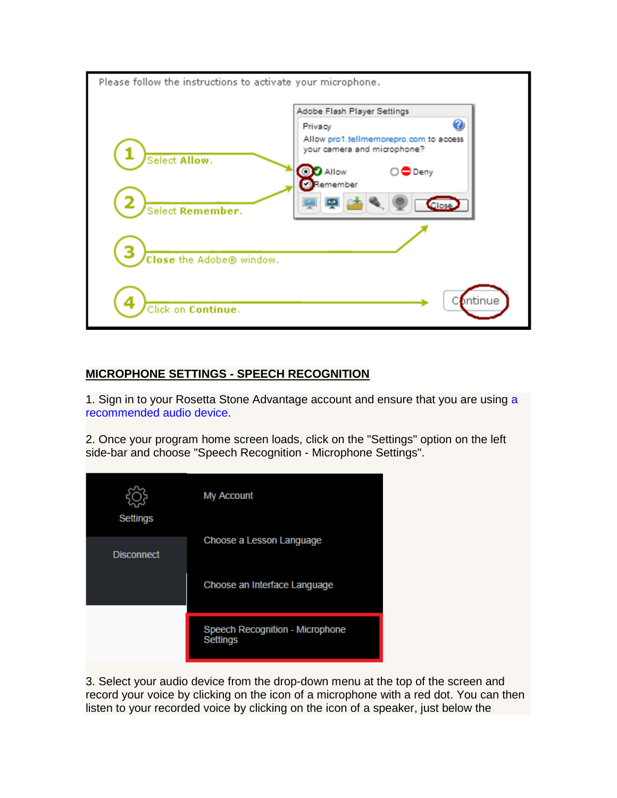

## **MICROPHONE SETTINGS - SPEECH RECOGNITION**

1. Sign in to your Rosetta Stone Advantage account and ensure that you are using [a](http://support.rosettastone.com/en/business/Advantage-For-Public-Sector-Tell-Me-More/Getting-Started-Guide/Headset-Requirements-Learner-Guide#bottomOfPage)  [recommended audio device.](http://support.rosettastone.com/en/business/Advantage-For-Public-Sector-Tell-Me-More/Getting-Started-Guide/Headset-Requirements-Learner-Guide#bottomOfPage)

2. Once your program home screen loads, click on the "Settings" option on the left side-bar and choose "Speech Recognition - Microphone Settings".



3. Select your audio device from the drop-down menu at the top of the screen and record your voice by clicking on the icon of a microphone with a red dot. You can then listen to your recorded voice by clicking on the icon of a speaker, just below the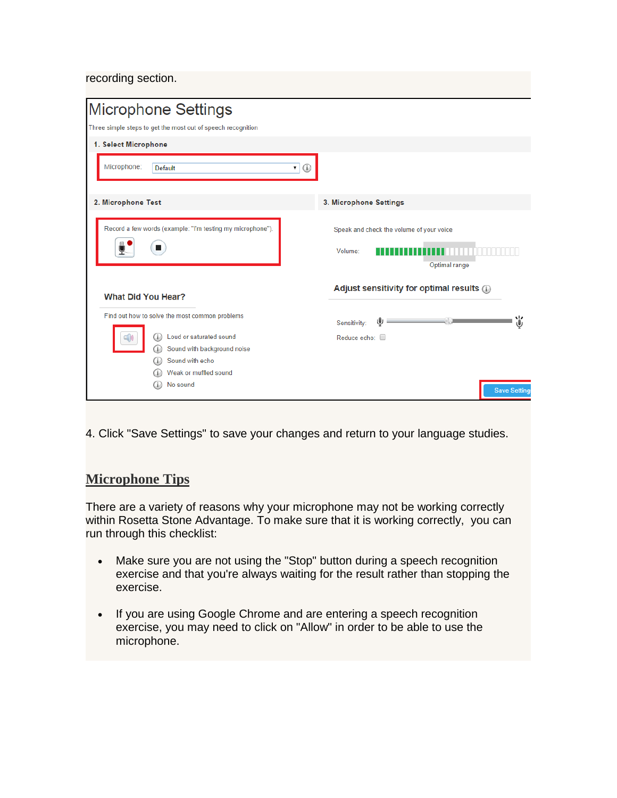recording section.

| G.                                                                   |
|----------------------------------------------------------------------|
|                                                                      |
| 3. Microphone Settings                                               |
| Speak and check the volume of your voice<br>Volume:<br>Optimal range |
| Adjust sensitivity for optimal results (i)                           |
| Sensitivity:                                                         |
| Reduce echo: □                                                       |
|                                                                      |
|                                                                      |
|                                                                      |
| <b>Save Settings</b>                                                 |
|                                                                      |

4. Click "Save Settings" to save your changes and return to your language studies.

# **Microphone Tips**

There are a variety of reasons why your microphone may not be working correctly within Rosetta Stone Advantage. To make sure that it is working correctly, you can run through this checklist:

- Make sure you are not using the "Stop" button during a speech recognition exercise and that you're always waiting for the result rather than stopping the exercise.
- If you are using Google Chrome and are entering a speech recognition exercise, you may need to click on "Allow" in order to be able to use the microphone.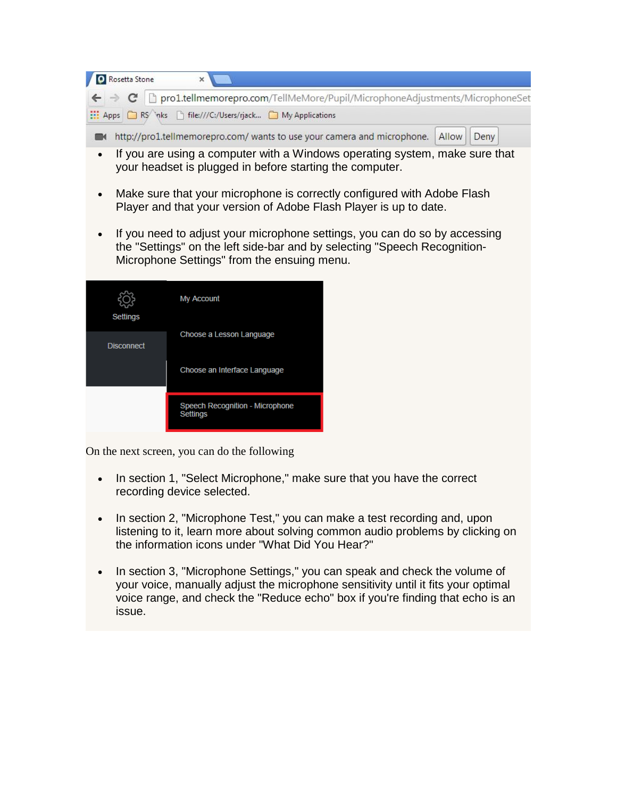| Rosetta Stone                                                                                                     |  |
|-------------------------------------------------------------------------------------------------------------------|--|
| $\leftarrow \rightarrow \mathbf{C}$ T pro1.tellmemorepro.com/TellMeMore/Pupil/MicrophoneAdjustments/MicrophoneSet |  |
| Apps RS \nks hile:///C:/Users/rjack My Applications                                                               |  |
| http://pro1.tellmemorepro.com/ wants to use your camera and microphone.   Allow   Deny                            |  |

- If you are using a computer with a Windows operating system, make sure that your headset is plugged in before starting the computer.
- Make sure that your microphone is correctly configured with Adobe Flash Player and that your version of Adobe Flash Player is up to date.
- If you need to adjust your microphone settings, you can do so by accessing the "Settings" on the left side-bar and by selecting "Speech Recognition-Microphone Settings" from the ensuing menu.

| <b>Settings</b>   | My Account                                                |  |
|-------------------|-----------------------------------------------------------|--|
| <b>Disconnect</b> | Choose a Lesson Language                                  |  |
|                   | Choose an Interface Language                              |  |
|                   | <b>Speech Recognition - Microphone</b><br><b>Settings</b> |  |

On the next screen, you can do the following

- In section 1, "Select Microphone," make sure that you have the correct recording device selected.
- In section 2, "Microphone Test," you can make a test recording and, upon listening to it, learn more about solving common audio problems by clicking on the information icons under "What Did You Hear?"
- In section 3, "Microphone Settings," you can speak and check the volume of your voice, manually adjust the microphone sensitivity until it fits your optimal voice range, and check the "Reduce echo" box if you're finding that echo is an issue.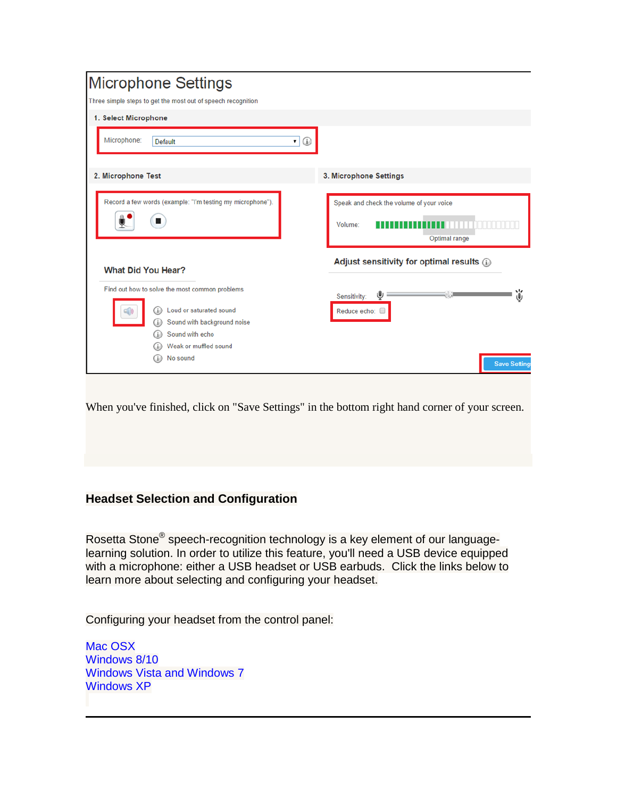| <b>Microphone Settings</b>                                                                     |                                                                      |
|------------------------------------------------------------------------------------------------|----------------------------------------------------------------------|
| Three simple steps to get the most out of speech recognition                                   |                                                                      |
| 1. Select Microphone                                                                           |                                                                      |
| Microphone:<br><b>Default</b><br>C                                                             |                                                                      |
| 2. Microphone Test                                                                             | 3. Microphone Settings                                               |
| Record a few words (example: "I'm testing my microphone").<br>٠                                | Speak and check the volume of your voice<br>Volume:<br>Optimal range |
| <b>What Did You Hear?</b><br>Find out how to solve the most common problems                    | Adjust sensitivity for optimal results @                             |
| Loud or saturated sound<br>(.i.)<br>Sound with background noise<br>G)<br>Sound with echo<br>Œ. | ű<br>Sensitivity:<br>Reduce echo:                                    |
| Weak or muffled sound<br>No sound<br>Œ.                                                        | <b>Save Setting</b>                                                  |

When you've finished, click on "Save Settings" in the bottom right hand corner of your screen.

## **Headset Selection and Configuration**

Rosetta Stone® speech-recognition technology is a key element of our languagelearning solution. In order to utilize this feature, you'll need a USB device equipped with a microphone: either a USB headset or USB earbuds. Click the links below to learn more about selecting and configuring your headset.

Configuring your headset from the control panel:

[Mac OSX](https://support.rosettastone.com/en/k-12/Advantage-For-Higher-Education-Tell-Me-More/Headset-Speech-Recognition/articles/Headset-Selection-and-Configuration#MacOSX) [Windows 8/10](https://support.rosettastone.com/en/k-12/Advantage-For-Higher-Education-Tell-Me-More/Headset-Speech-Recognition/articles/Headset-Selection-and-Configuration#Windows8) [Windows Vista and Windows 7](https://support.rosettastone.com/en/k-12/Advantage-For-Higher-Education-Tell-Me-More/Headset-Speech-Recognition/articles/Headset-Selection-and-Configuration#WindowsVista7) [Windows XP](https://support.rosettastone.com/en/k-12/Advantage-For-Higher-Education-Tell-Me-More/Headset-Speech-Recognition/articles/Headset-Selection-and-Configuration#WindowsXP)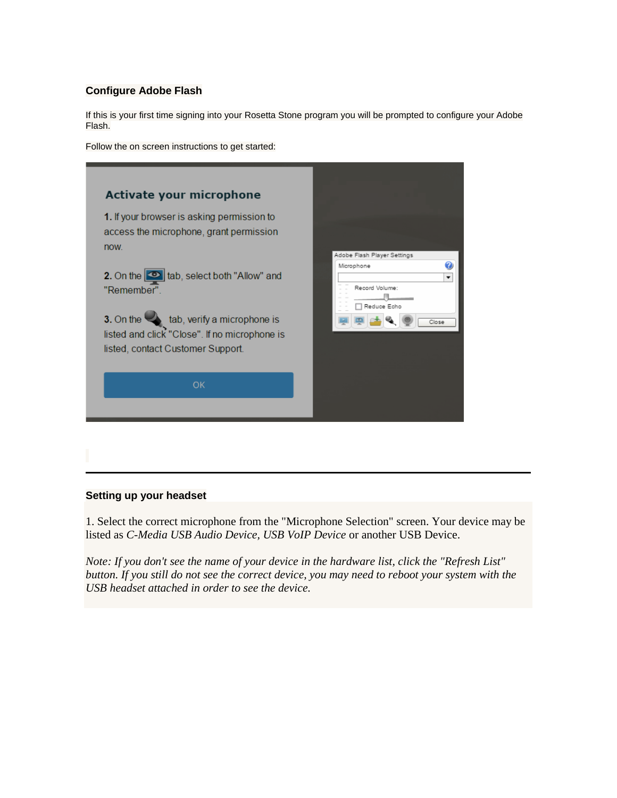### **Configure Adobe Flash**

If this is your first time signing into your Rosetta Stone program you will be prompted to configure your Adobe Flash.

Follow the on screen instructions to get started:

| Activate your microphone                                                                                                                     |                                                                       |
|----------------------------------------------------------------------------------------------------------------------------------------------|-----------------------------------------------------------------------|
| 1. If your browser is asking permission to<br>access the microphone, grant permission<br>now.                                                |                                                                       |
| 2. On the $\boxed{\circ}$ tab, select both "Allow" and<br>"Remember"                                                                         | Adobe Flash Player Settings<br>Ø<br>Microphone<br>۰<br>Record Volume: |
| 3. On the $\blacktriangle$ tab, verify a microphone is<br>listed and click "Close". If no microphone is<br>listed, contact Customer Support. | Reduce Echo<br>Close                                                  |
| OK                                                                                                                                           |                                                                       |
|                                                                                                                                              |                                                                       |

#### **Setting up your headset**

1. Select the correct microphone from the "Microphone Selection" screen. Your device may be listed as *C-Media USB Audio Device, USB VoIP Device* or another USB Device.

*Note: If you don't see the name of your device in the hardware list, click the "Refresh List" button. If you still do not see the correct device, you may need to reboot your system with the USB headset attached in order to see the device.*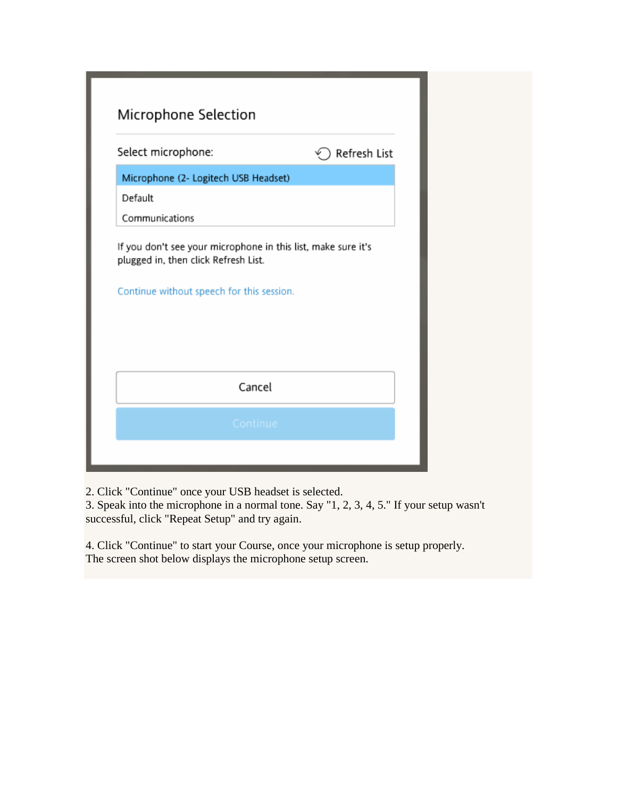| Select microphone:                        | Refresh List                                                  |
|-------------------------------------------|---------------------------------------------------------------|
| Microphone (2- Logitech USB Headset)      |                                                               |
| Default                                   |                                                               |
| Communications                            |                                                               |
| plugged in, then click Refresh List.      | If you don't see your microphone in this list, make sure it's |
| Continue without speech for this session. |                                                               |
|                                           |                                                               |
|                                           |                                                               |

2. Click "Continue" once your USB headset is selected.

3. Speak into the microphone in a normal tone. Say "1, 2, 3, 4, 5." If your setup wasn't successful, click "Repeat Setup" and try again.

4. Click "Continue" to start your Course, once your microphone is setup properly. The screen shot below displays the microphone setup screen.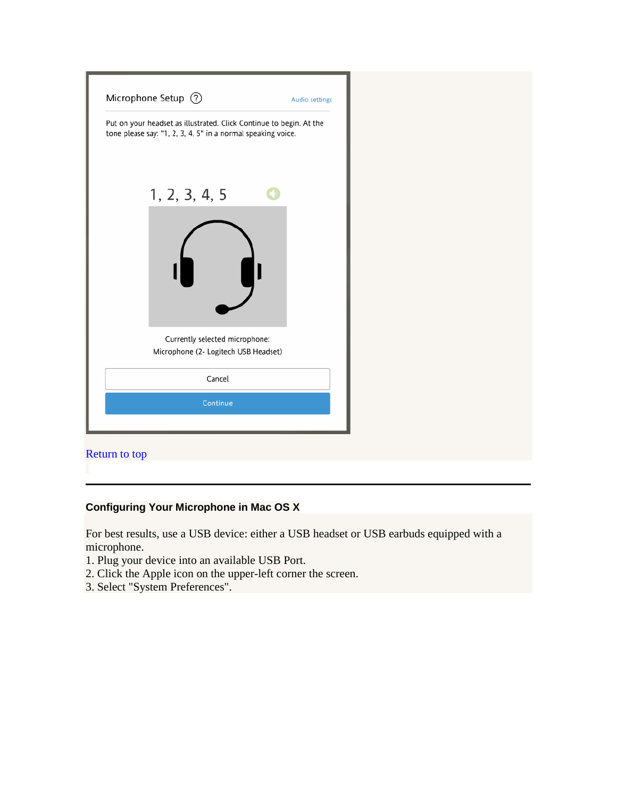| Put on your headset as illustrated. Click Continue to begin. At the<br>tone please say: "1, 2, 3, 4, 5" in a normal speaking voice. |  |
|-------------------------------------------------------------------------------------------------------------------------------------|--|
| 1, 2, 3, 4, 5                                                                                                                       |  |
|                                                                                                                                     |  |
| Currently selected microphone:<br>Microphone (2- Logitech USB Headset)                                                              |  |
|                                                                                                                                     |  |
| Cancel                                                                                                                              |  |
| Continue                                                                                                                            |  |
| Return to top                                                                                                                       |  |

# **Configuring Your Microphone in Mac OS X**

For best results, use a USB device: either a USB headset or USB earbuds equipped with a microphone.

- 1. Plug your device into an available USB Port.
- 2. Click the Apple icon on the upper-left corner the screen.
- 3. Select "System Preferences".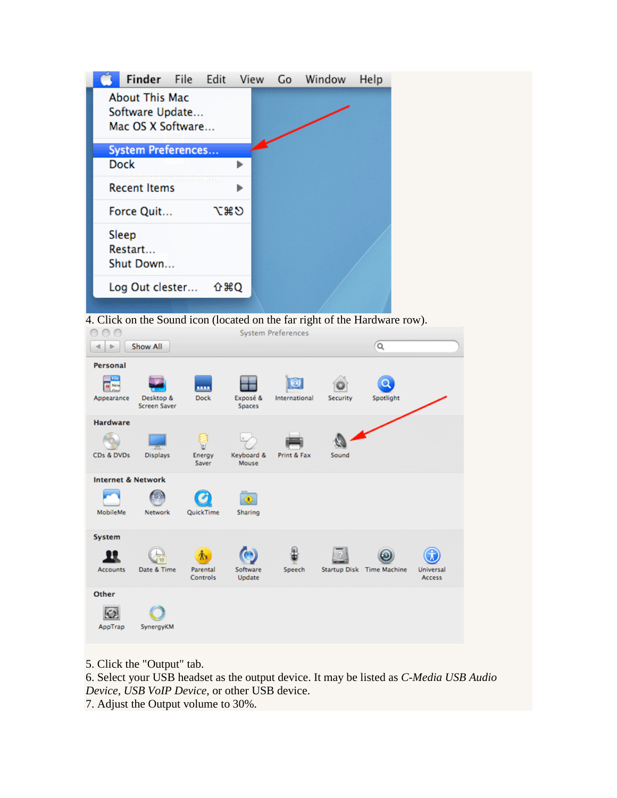| Finder File Edit          |     | View | Go | Window | Help |  |
|---------------------------|-----|------|----|--------|------|--|
| <b>About This Mac</b>     |     |      |    |        |      |  |
| Software Update           |     |      |    |        |      |  |
| Mac OS X Software         |     |      |    |        |      |  |
| <b>System Preferences</b> |     |      |    |        |      |  |
|                           |     |      |    |        |      |  |
| <b>Dock</b>               |     |      |    |        |      |  |
| <b>Recent Items</b>       |     |      |    |        |      |  |
|                           | てまり |      |    |        |      |  |
| Force Quit                |     |      |    |        |      |  |
| Sleep                     |     |      |    |        |      |  |
| Restart                   |     |      |    |        |      |  |
| Shut Down                 |     |      |    |        |      |  |
|                           |     |      |    |        |      |  |
| Log Out clester           | 企第Q |      |    |        |      |  |
|                           |     |      |    |        |      |  |

4. Click on the Sound icon (located on the far right of the Hardware row).



5. Click the "Output" tab.

6. Select your USB headset as the output device. It may be listed as *C-Media USB Audio Device, USB VoIP Device*, or other USB device.

7. Adjust the Output volume to 30%.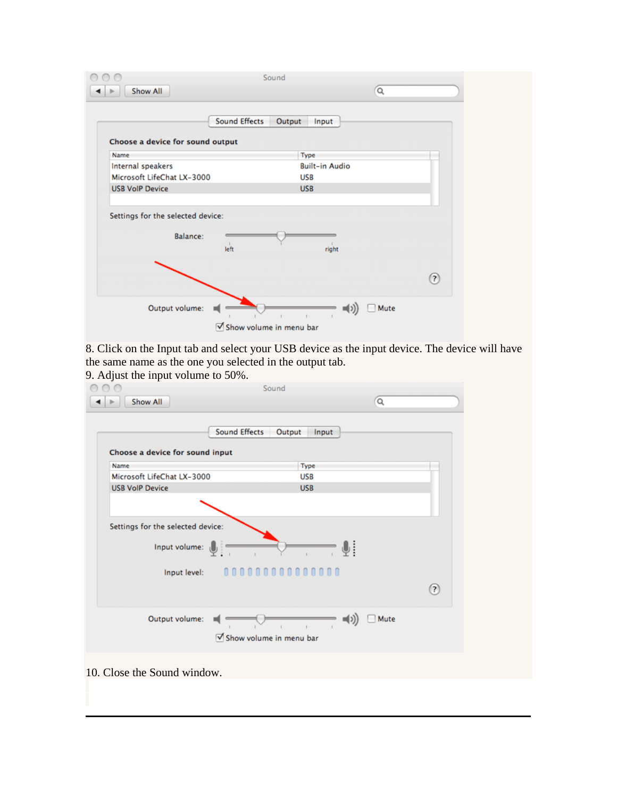|                                                      | <b>Sound Effects</b> | Output<br>Input       |     |
|------------------------------------------------------|----------------------|-----------------------|-----|
| Choose a device for sound output                     |                      |                       |     |
| Name                                                 |                      | Type                  |     |
| Internal speakers                                    |                      | <b>Built-in Audio</b> |     |
| Microsoft LifeChat LX-3000                           |                      | <b>USB</b>            |     |
| <b>USB VolP Device</b>                               |                      | <b>USB</b>            |     |
| Settings for the selected device:<br><b>Balance:</b> | left                 | right                 |     |
|                                                      |                      |                       | (2) |

8. Click on the Input tab and select your USB device as the input device. The device will have the same name as the one you selected in the output tab.

9. Adjust the input volume to 50%.

|                                 | <b>Sound Effects</b><br>Output<br>Input |     |
|---------------------------------|-----------------------------------------|-----|
| Choose a device for sound input |                                         |     |
| Name                            | Type                                    |     |
| Microsoft LifeChat LX-3000      | <b>USB</b>                              |     |
| <b>USB VoIP Device</b>          | <b>USB</b>                              |     |
|                                 | Input level: 000000000000000            | (?) |
|                                 |                                         |     |

10. Close the Sound window.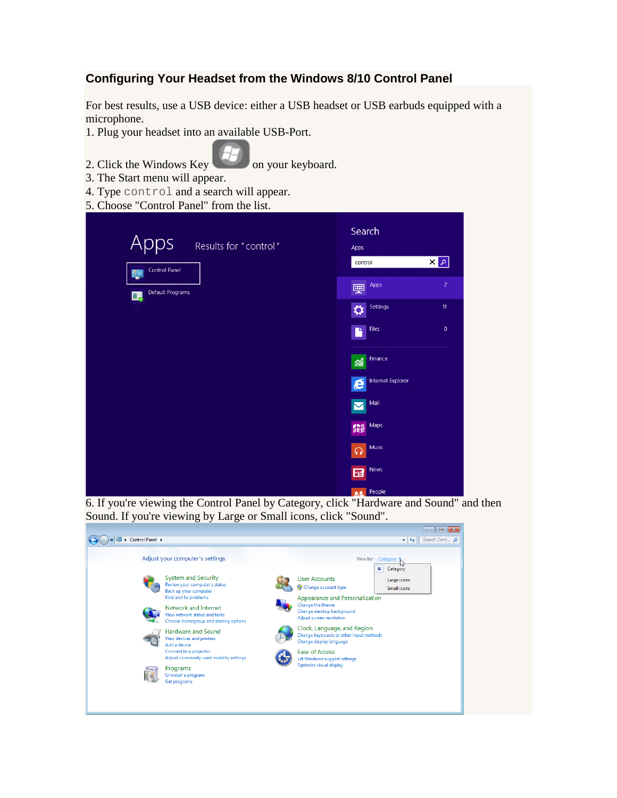## **Configuring Your Headset from the Windows 8/10 Control Panel**

For best results, use a USB device: either a USB headset or USB earbuds equipped with a microphone.

- 1. Plug your headset into an available USB-Port.
- 2. Click the Windows Key on your keyboard.
- 3. The Start menu will appear.
- 4. Type control and a search will appear.
- 5. Choose "Control Panel" from the list.

|                               | Search                                |
|-------------------------------|---------------------------------------|
| Apps<br>Results for "control" | Apps                                  |
| <b>Control Panel</b><br>ĝ≣    | $\mathbf{x}$ $\mathbf{z}$<br>control  |
| Default Programs<br>■         | $\overline{2}$<br>Apps<br>喓           |
|                               | 11<br>Settings<br>⇔                   |
|                               | $\pmb{0}$<br>Files<br>R               |
|                               | Finance<br>緬                          |
|                               | Internet Explorer<br>$\boldsymbol{e}$ |
|                               | Mail<br>Δ                             |
|                               | Maps<br>編                             |
|                               | Music<br>$\Omega$                     |
|                               | <b>News</b><br>日                      |
|                               | People<br>02.                         |

6. If you're viewing the Control Panel by Category, click "Hardware and Sound" and then Sound. If you're viewing by Large or Small icons, click "Sound".

| Adjust your computer's settings<br><b>System and Security</b><br><b>User Accounts</b><br>Review your computer's status<br>Change account type<br>Back up your computer<br>Find and fix problems<br><b>Appearance and Personalization</b><br>Change the theme<br>Network and Internet<br>Change desktop background<br>View network status and tasks<br><b>Adjust screen resolution</b><br>Choose homegroup and sharing options<br>Clock, Language, and Region<br><b>Hardware and Sound</b><br>Change keyboards or other input methods<br>View devices and printers<br>Change display language<br>Add a device | View by:<br>Category <b>K</b> |
|--------------------------------------------------------------------------------------------------------------------------------------------------------------------------------------------------------------------------------------------------------------------------------------------------------------------------------------------------------------------------------------------------------------------------------------------------------------------------------------------------------------------------------------------------------------------------------------------------------------|-------------------------------|
|                                                                                                                                                                                                                                                                                                                                                                                                                                                                                                                                                                                                              | Category<br>$\bullet$         |
|                                                                                                                                                                                                                                                                                                                                                                                                                                                                                                                                                                                                              | Large icons<br>Small icons    |
|                                                                                                                                                                                                                                                                                                                                                                                                                                                                                                                                                                                                              |                               |
|                                                                                                                                                                                                                                                                                                                                                                                                                                                                                                                                                                                                              |                               |
| Connect to a projector<br><b>Ease of Access</b><br>Adjust commonly used mobility settings<br>Let Windows suggest settings<br>Optimize visual display<br>Programs                                                                                                                                                                                                                                                                                                                                                                                                                                             |                               |
| Uninstall a program<br>Get programs                                                                                                                                                                                                                                                                                                                                                                                                                                                                                                                                                                          |                               |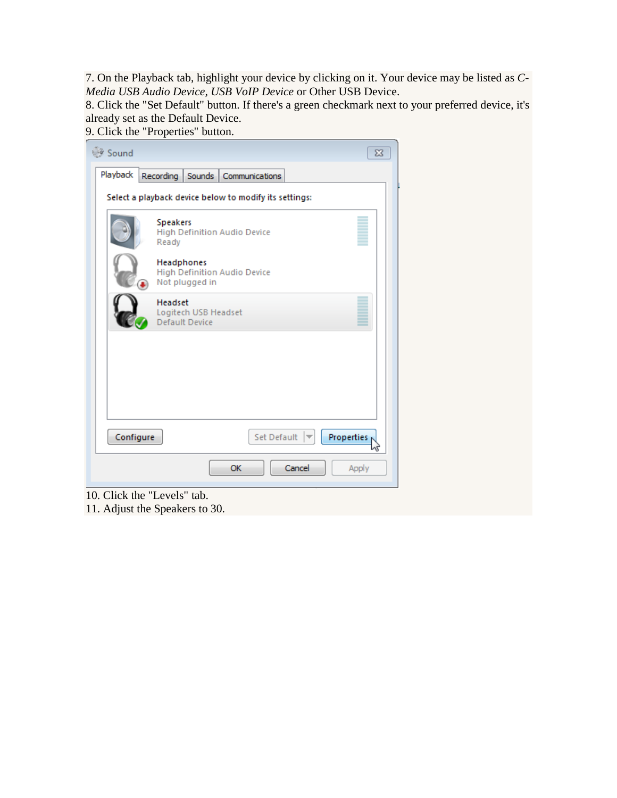7. On the Playback tab, highlight your device by clicking on it. Your device may be listed as *C-Media USB Audio Device, USB VoIP Device* or Other USB Device.

8. Click the "Set Default" button. If there's a green checkmark next to your preferred device, it's already set as the Default Device.

9. Click the "Properties" button.

| Sound     | $\Sigma$                                                     |
|-----------|--------------------------------------------------------------|
| Playback  | Recording<br>Sounds<br>Communications                        |
|           | Select a playback device below to modify its settings:       |
|           | <b>Speakers</b><br>High Definition Audio Device<br>Ready     |
|           | Headphones<br>High Definition Audio Device<br>Not plugged in |
|           | <b>Headset</b><br>Logitech USB Headset<br>Default Device     |
|           |                                                              |
|           |                                                              |
| Configure | Set Default<br>Properties                                    |
|           | Cancel<br>OK<br>Apply                                        |

- 10. Click the "Levels" tab.
- 11. Adjust the Speakers to 30.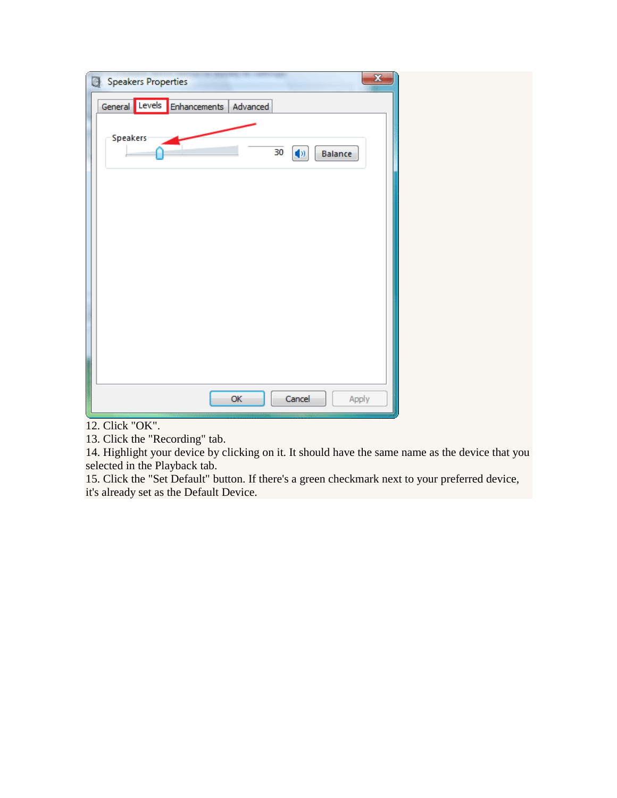| <b>Speakers Properties</b>  |          |                 | $\mathbf{x}$ |
|-----------------------------|----------|-----------------|--------------|
| General Levels Enhancements | Advanced |                 |              |
| Speakers                    | 30       | (9)<br>Balance  |              |
|                             |          |                 |              |
|                             |          |                 |              |
|                             |          |                 |              |
|                             |          |                 |              |
|                             | ОK       | Cancel<br>Apply |              |

12. Click "OK".

13. Click the "Recording" tab.

14. Highlight your device by clicking on it. It should have the same name as the device that you selected in the Playback tab.

15. Click the "Set Default" button. If there's a green checkmark next to your preferred device, it's already set as the Default Device.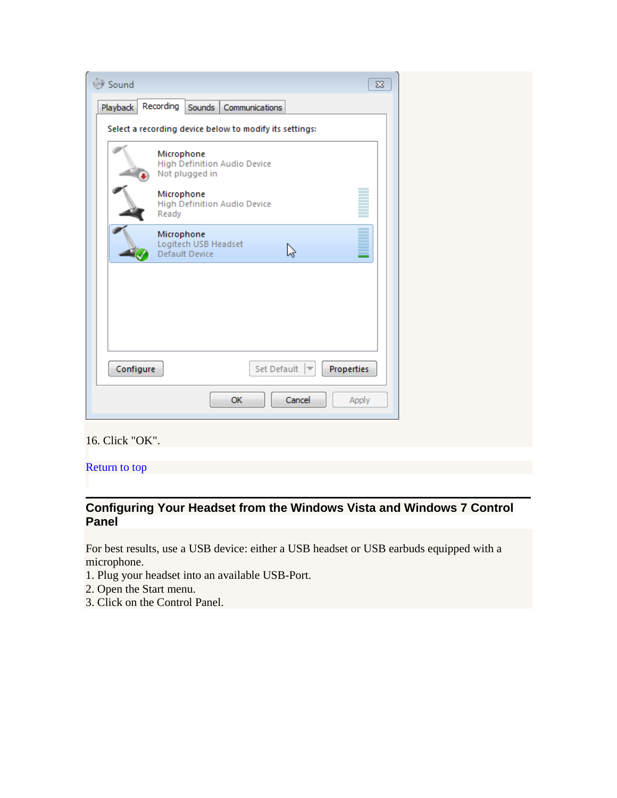| Sound     |                                                              |                                  | $\Sigma$   |
|-----------|--------------------------------------------------------------|----------------------------------|------------|
| Playback  | Recording<br>Sounds<br>Communications                        |                                  |            |
|           | Select a recording device below to modify its settings:      |                                  |            |
|           | Microphone<br>High Definition Audio Device<br>Not plugged in |                                  |            |
|           | Microphone<br><b>High Definition Audio Device</b><br>Ready   |                                  |            |
|           | Microphone<br>Logitech USB Headset<br>Default Device         | い                                |            |
|           |                                                              |                                  |            |
|           |                                                              |                                  |            |
|           |                                                              |                                  |            |
| Configure |                                                              | Set Default $\blacktriangledown$ | Properties |
|           | OK                                                           | Cancel                           | Apply      |
|           |                                                              |                                  |            |

16. Click "OK".

[Return to top](https://support.rosettastone.com/en/k-12/Advantage-For-Higher-Education-Tell-Me-More/Headset-Speech-Recognition/articles/Headset-Selection-and-Configuration#top)

## **Configuring Your Headset from the Windows Vista and Windows 7 Control Panel**

For best results, use a USB device: either a USB headset or USB earbuds equipped with a microphone.

- 1. Plug your headset into an available USB-Port.
- 2. Open the Start menu.
- 3. Click on the Control Panel.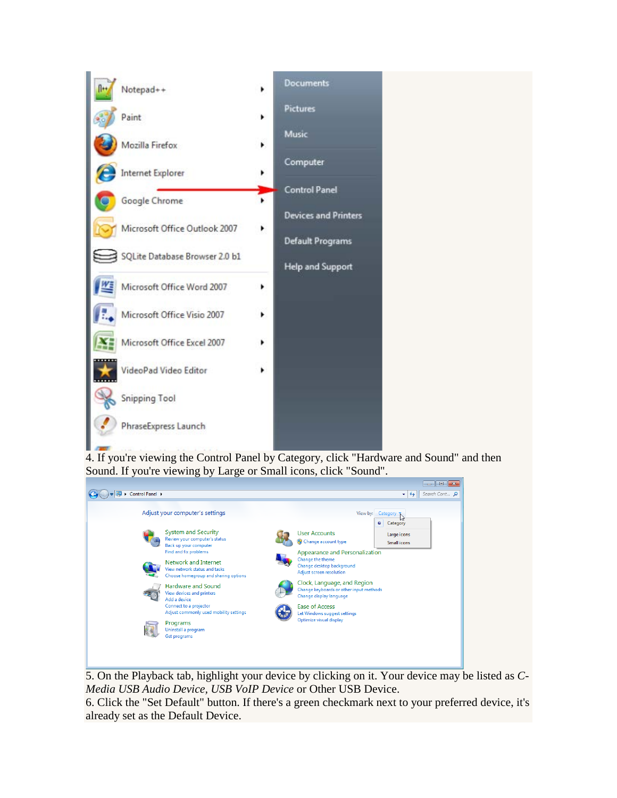

4. If you're viewing the Control Panel by Category, click "Hardware and Sound" and then Sound. If you're viewing by Large or Small icons, click "Sound".

|                                                                       | $\Box$<br>$\mathbf{x}$<br>$\qquad \qquad \Box$                     |
|-----------------------------------------------------------------------|--------------------------------------------------------------------|
| Control Panel ><br>œ                                                  | $\mathbf{v}$ $\mathbf{t}$<br>Search Cont p                         |
| Adjust your computer's settings                                       | View by: Category T<br>Category<br>$\bullet$                       |
| <b>System and Security</b>                                            | <b>User Accounts</b><br>Large icons                                |
| Review your computer's status<br>Back up your computer                | Change account type<br>Small icons                                 |
| Find and fix problems                                                 | <b>Appearance and Personalization</b>                              |
| Network and Internet                                                  | Change the theme<br>Change desktop background                      |
| View network status and tasks<br>Choose homegroup and sharing options | <b>Adjust screen resolution</b>                                    |
| <b>Hardware and Sound</b>                                             | Clock, Language, and Region                                        |
| View devices and printers                                             | Change keyboards or other input methods<br>Change display language |
| Add a device<br>Connect to a projector                                | <b>Ease of Access</b>                                              |
| Adjust commonly used mobility settings                                | Let Windows suggest settings                                       |
| Programs                                                              | Optimize visual display                                            |
| Uninstall a program<br>Get programs                                   |                                                                    |
|                                                                       |                                                                    |
|                                                                       |                                                                    |
|                                                                       |                                                                    |

5. On the Playback tab, highlight your device by clicking on it. Your device may be listed as *C-Media USB Audio Device, USB VoIP Device* or Other USB Device.

6. Click the "Set Default" button. If there's a green checkmark next to your preferred device, it's already set as the Default Device.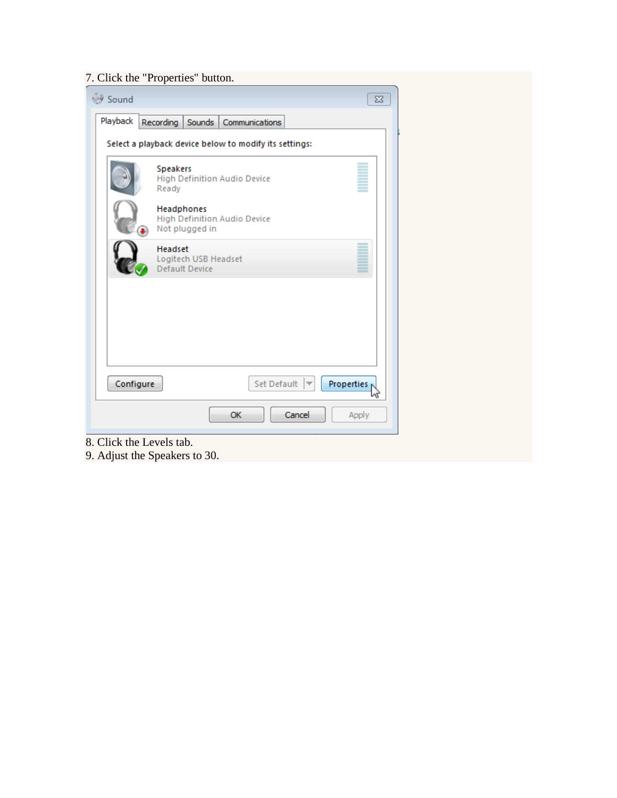# 7. Click the "Properties" button.

| <b>Sound</b> | $\Sigma$                                                            |  |
|--------------|---------------------------------------------------------------------|--|
| Playback     | Recording<br>Sounds   Communications                                |  |
|              | Select a playback device below to modify its settings:              |  |
|              | Speakers<br>High Definition Audio Device<br>Ready                   |  |
|              | Headphones<br><b>High Definition Audio Device</b><br>Not plugged in |  |
|              | Headset<br>Logitech USB Headset<br><b>Default Device</b>            |  |
|              |                                                                     |  |
|              |                                                                     |  |
| Configure    | Set Default<br>Properties                                           |  |
|              | OK<br>Cancel<br>Apply                                               |  |

8. Click the Levels tab.

9. Adjust the Speakers to 30.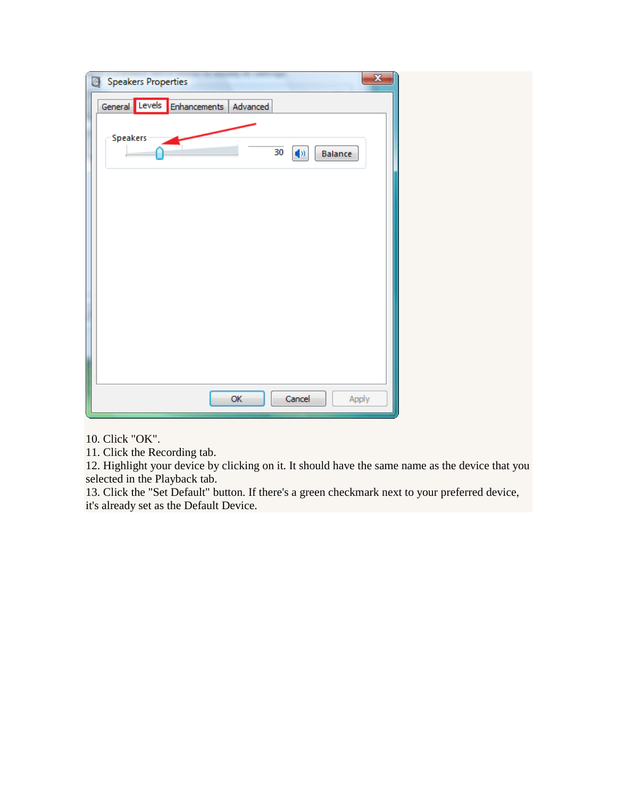| $\mathbf{x}$<br><b>Speakers Properties</b>   |  |
|----------------------------------------------|--|
| General Levels Enhancements<br>Advanced      |  |
| Speakers<br>30<br>$\blacklozenge$<br>Balance |  |
|                                              |  |
|                                              |  |
|                                              |  |
|                                              |  |
| OK<br>Cancel<br>Apply                        |  |

10. Click "OK".

11. Click the Recording tab.

12. Highlight your device by clicking on it. It should have the same name as the device that you selected in the Playback tab.

13. Click the "Set Default" button. If there's a green checkmark next to your preferred device, it's already set as the Default Device.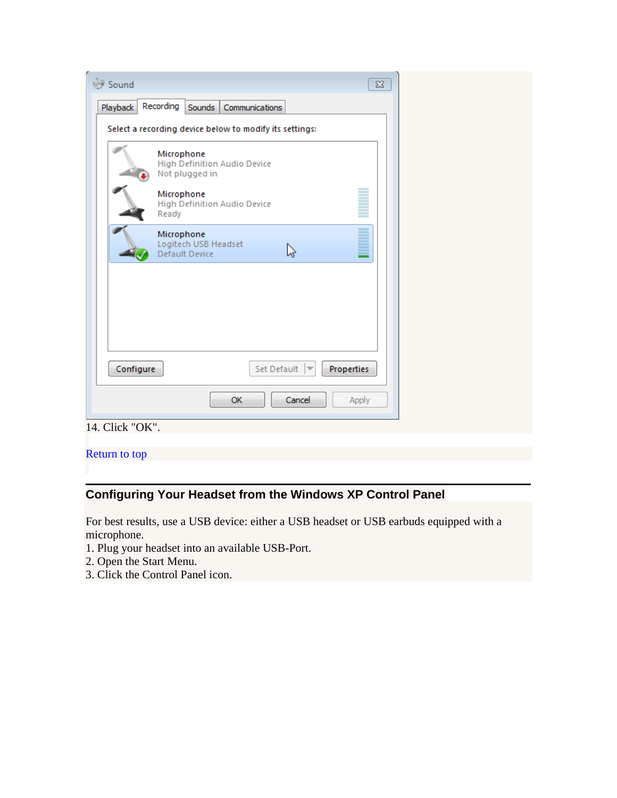| Sound           | $\Sigma$                                                            |  |
|-----------------|---------------------------------------------------------------------|--|
| Playback        | Recording<br>Sounds<br>Communications                               |  |
|                 | Select a recording device below to modify its settings:             |  |
|                 | Microphone<br><b>High Definition Audio Device</b><br>Not plugged in |  |
|                 | Microphone<br><b>High Definition Audio Device</b><br>Ready          |  |
|                 | Ì<br>Microphone<br>Logitech USB Headset<br>↳<br>Default Device      |  |
|                 |                                                                     |  |
|                 |                                                                     |  |
| Configure       | Set Default<br>Properties                                           |  |
|                 |                                                                     |  |
|                 | OK<br>Cancel<br>Apply                                               |  |
| 14. Click "OK". |                                                                     |  |

# [Return to top](https://support.rosettastone.com/en/k-12/Advantage-For-Higher-Education-Tell-Me-More/Headset-Speech-Recognition/articles/Headset-Selection-and-Configuration#top)

# **Configuring Your Headset from the Windows XP Control Panel**

For best results, use a USB device: either a USB headset or USB earbuds equipped with a microphone.

- 1. Plug your headset into an available USB-Port.
- 2. Open the Start Menu.
- 3. Click the Control Panel icon.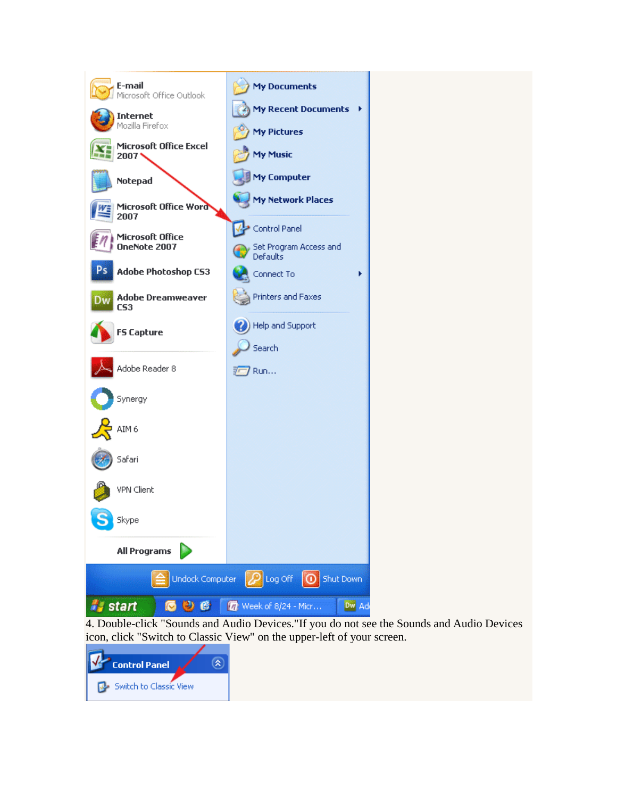

4. Double-click "Sounds and Audio Devices."If you do not see the Sounds and Audio Devices icon, click "Switch to Classic View" on the upper-left of your screen.

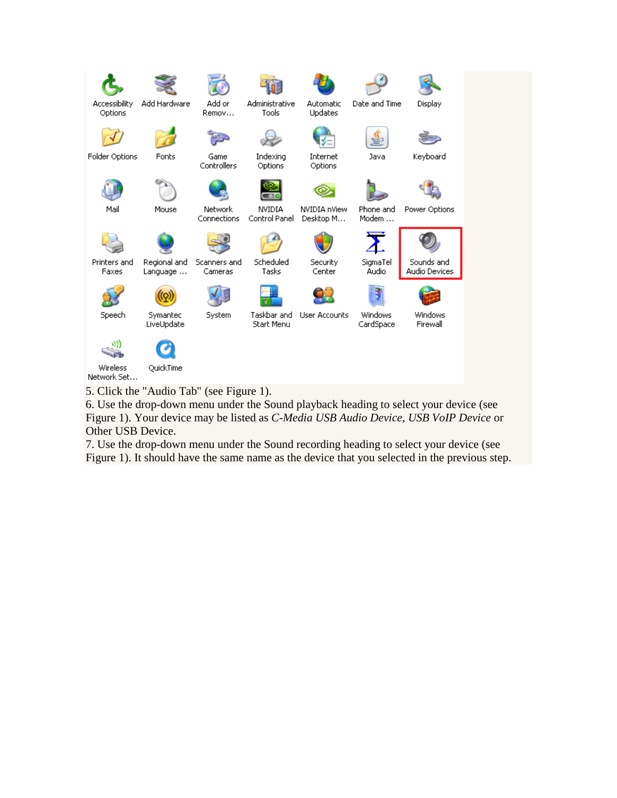

5. Click the "Audio Tab" (see Figure 1).

6. Use the drop-down menu under the Sound playback heading to select your device (see Figure 1). Your device may be listed as *C-Media USB Audio Device, USB VoIP Device* or Other USB Device.

7. Use the drop-down menu under the Sound recording heading to select your device (see Figure 1). It should have the same name as the device that you selected in the previous step.